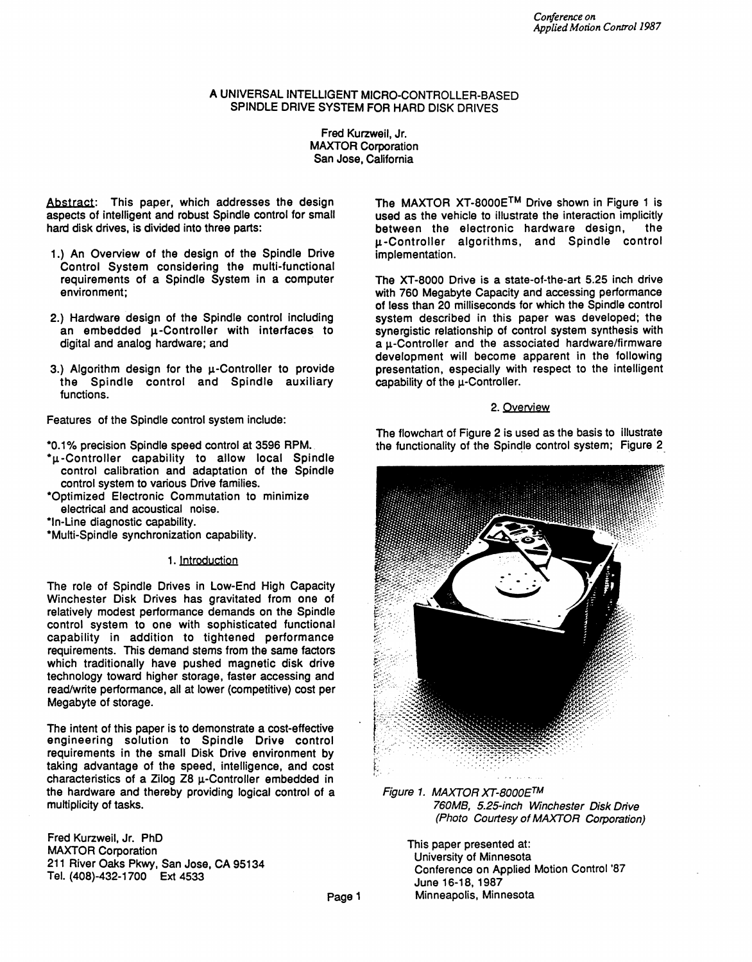# A UNIVERSAL INTELLIGENT MICRO-CONTROLLER-BASED SPINDLE DRIVE SYSTEM FOR HARD DISK DRIVES

Fred Kurzweil, Jr. MAXTOR Corporation San Jose, California

Abstract: This paper, which addresses the design aspects of intelligent and robust Spindle control for small hard disk drives, is divided into three parts:

- 1.) An Overview of the design of the Spindle Drive Control System considering the multi-functional requirements of a Spindle System in a computer environment;
- 2.) Hardware design of the Spindle control including an embedded  $\mu$ -Controller with interfaces to digital and analog hardware; and
- 3.) Algorithm design for the u-Controller to provide the Spindle control and Spindle auxiliary functions.

Features of the Spindle control system include:

\*0.1% precision Spindle speed control at 3596 RPM.

- $^{\star}$ µ-Controller capability to allow local Spindle control calibration and adaptation of the Spindle control system to various Drive families.
- \*Optimized Electronic Commutation to minimize electrical and acoustical noise.
- \*In-Line diagnostic capability.
- \*Multi-Spindle synchronization capability.

### 1. Introduction

The role of Spindle Drives in Low-End High Capacity Winchester Disk Drives has gravitated from one of relatively modest performance demands on the Spindle control system to one with sophisticated functional capability in addition to tightened performance requirements. This demand stems from the same factors which traditionally have pushed magnetic disk drive technology toward higher storage, faster accessing and reacl/write performance, all at lower (competitive) cost per Megabyte of storage.

The intent of this paper is to demonstrate a cost-effective engineering solution to Spindle Drive control requirements in the small Disk Drive environment by taking advantage of the speed, intelligence, and cost characteristics of a Zilog  $Z8 \mu$ -Controller embedded in the hardware and thereby providing logical control of a multiplicity of tasks.

Fred Kurzweil, Jr. PhD MAXTOR Corporation 211 River Oaks Pkwy, San Jose, CA 95134 Tel. (408)-432-1700 Ext 4533

The MAXTOR XT-8000ETM Drive shown in Figure 1 is used as the vehicle to illustrate the interaction implicitly between the electronic hardware design, the u-Controller algorithms, and Spindle control implementation.

The XT-8000 Drive is a state-of-the-art 5.25 inch drive with 760 Megabyte Capacity and accessing performance of less than 20 milliseconds for which the Spindle control system described in this paper was developed; the synergistic relationship of control system synthesis with a u-Controller and the associated hardware/firmware development will become apparent in the following presentation, especially with respect to the intelligent capability of the  $\mu$ -Controller.

### 2. Overview

The flowchart of Figure 2 is used as the basis to illustrate the functionality of the Spindle control system; Figure 2



Figure 1. MAXTOR XT-8000ETM 760MB, 5.25-inch Winchester Disk Drive (Photo Courtesy of MAXTOR Corporation)

This paper presented at: University of Minnesota Conference on Applied Motion Control '87 June 16-18. 1987 Minneapolis, Minnesota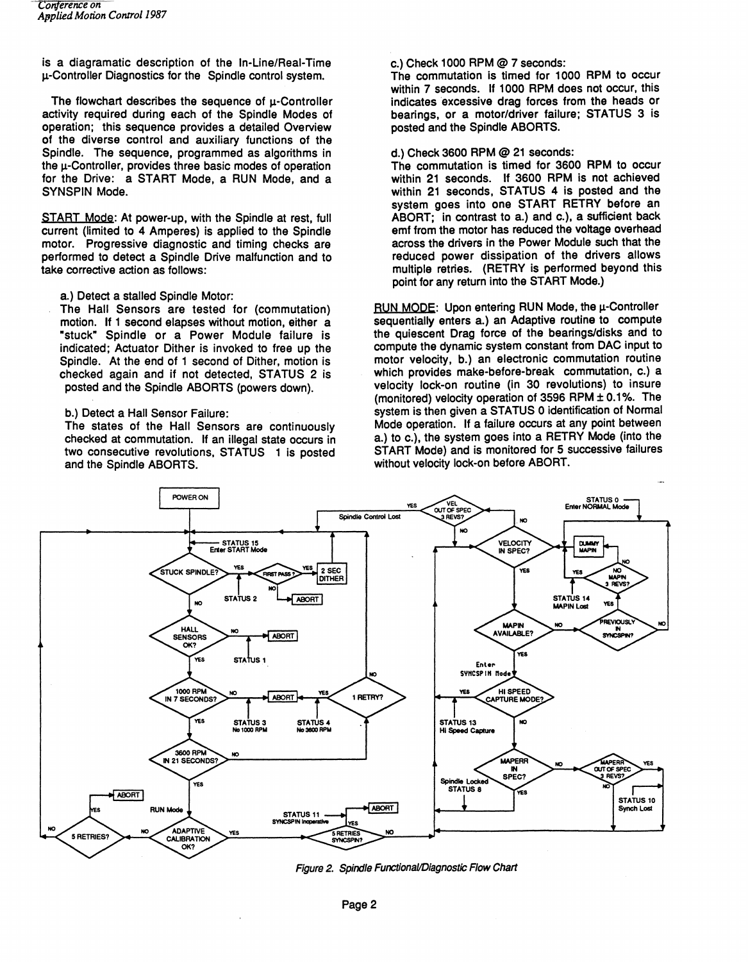is a diagramatic description of the In-Line/Real-Time  $\mu$ -Controller Diagnostics for the Spindle control system.

The flowchart describes the sequence of  $\mu$ -Controller activity required during each of the Spindle Modes of operation; this sequence provides a detailed Overview of the diverse control and auxiliary functions of the Spindle. The sequence, programmed as algorithms in the  $\mu$ -Controller, provides three basic modes of operation for the Drive: a START Mode, a RUN Mode, and a SYNSPIN Mode.

START Mode: At power-up, with the Spindle at rest, full current (limited to 4 Amperes) is applied to the Spindle motor. Progressive diagnostic and timing checks are performed to detect a Spindle Drive malfunction and to take corrective action as follows:

a.) Detect a stalled Spindle Motor:

The Hall Sensors are tested for (commutation) motion. If 1 second elapses without motion, either a ·stuck· Spindle or a Power Module failure is indicated; Actuator Dither is invoked to free up the Spindle. At the end of 1 second of Dither, motion is checked again and if not detected, STATUS 2 is posted and the Spindle ABORTS (powers down).

b.) Detect a Hall Sensor Failure:

The states of the Hall Sensors are continuously checked at commutation. If an illegal state occurs in two consecutive revolutions, STATUS 1 is posted and the Spindle ABORTS.

#### c.) Check 1000 RPM @ 7 seconds:

The commutation is timed for 1000 RPM to occur within 7 seconds. If 1000 RPM does not occur, this indicates excessive drag forces from the heads or bearings, or a motor/driver failure; STATUS 3 is posted and the Spindle ABORTS.

d.) Check 3600 RPM @ 21 seconds:

The commutation is timed for 3600 RPM to occur within 21 seconds. If 3600 RPM is not achieved within 21 seconds, STATUS 4 is posted and the system goes into one START RETRY before an ABORT; in contrast to a.) and c.), a sufficient back emf from the motor has reduced the voltage overhead across the drivers in the Power Module such that the reduced power dissipation of the drivers allows multiple retries. (RETRY is performed beyond this point for any return into the START Mode.)

RUN MODE: Upon entering RUN Mode, the u-Controller sequentially enters a.) an Adaptive routine to compute the quiescent Drag force of the bearings/disks and to compute the dynamic system constant from DAC input to motor velocity, b.) an electronic commutation routine which provides make-before-break commutation, c.) a velocity lock-on routine (in 30 revolutions) to insure (monitored) velocity operation of 3596 RPM  $\pm$  0.1%. The system is then given a STATUS 0 identification of Normal Mode operation. If a failure occurs at any point between a.) to c.), the system goes into a RETRY Mode (into the START Mode) and is monitored for 5 successive failures without velocity lock-on before ABORT.



Figure 2. Spindle FunctionaVDiagnostic Flow Chart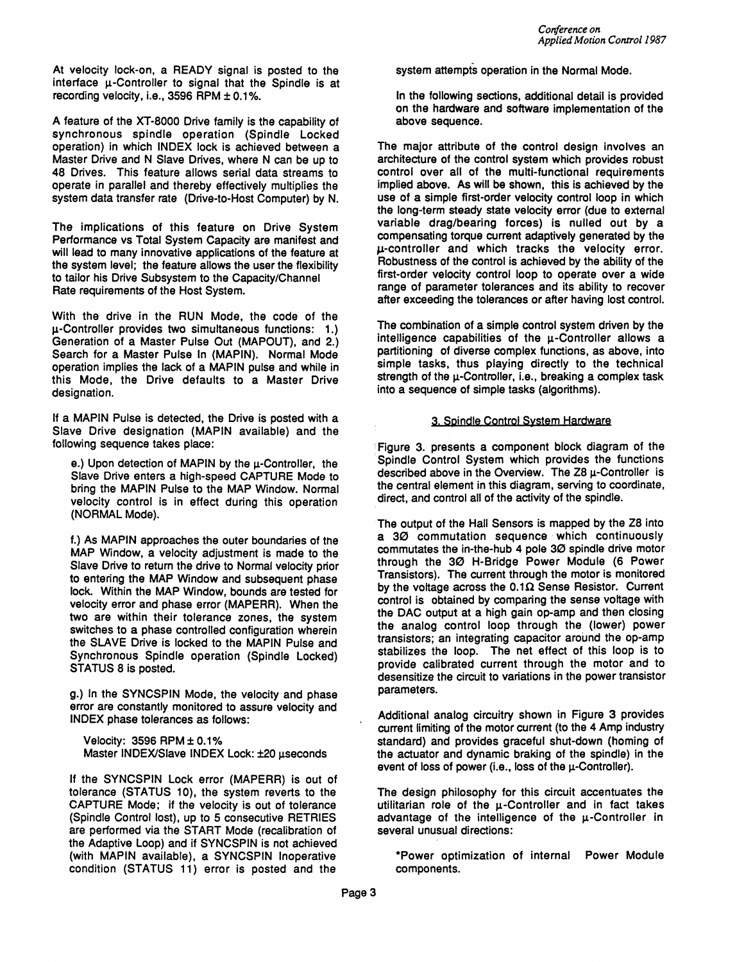At velocity lock-on, a READY signal is posted to the interface u-Controller to signal that the Spindle is at recording velocity, i.e., 3596 RPM  $\pm$  0.1%.

A feature of the XT-8000 Drive family is the capability of synchronous spindle operation (Spindle Locked operation) in which INDEX lock is achieved between a Master Drive and N Slave Drives, where N can be up to 48 Drives. This feature allows serial data streams to operate in parallel and thereby effectively multiplies the system data transfer rate (Drive-to-Host Computer) by N.

The implications of this feature on Drive System Performance vs Total System Capacity are manifest and will lead to many innovative applications of the feature at the system level; the feature allows the user the flexibility to tailor his Drive Subsystem to the Capacity/Channel Rate requirements of the Host System.

With the drive in the RUN Mode, the code of the  $\mu$ -Controller provides two simultaneous functions: 1.) Generation of a Master Pulse Out (MAPOUT), and 2.) Search for a Master Pulse In (MAPIN). Normal Mode operation implies the lack of a MAPIN pulse and while in this Mode, the Drive defaults to a Master Drive designation.

If a MAPIN Pulse is detected, the Drive is posted with a Slave Drive deSignation (MAPIN available) and the following sequence takes place:

e.) Upon detection of MAPIN by the  $\mu$ -Controller, the Slave Drive enters a high-speed CAPTURE Mode to bring the MAPIN Pulse to the MAP Window. Normal velocity control is in effect during this operation (NORMAL Mode).

f.) As MAPIN approaches the outer boundaries of the MAP Window, a velocity adjustment is made to the Slave Drive to return the drive to Normal velocity prior to entering the MAP Window and subsequent phase lock. Within the MAP Window, bounds are tested for velocity error and phase error (MAPERR). When the two are within their tolerance zones, the system switches to a phase controlled configuration wherein the SLAVE Drive is locked to the MAPIN Pulse and Synchronous Spindle operation (Spindle Locked) STATUS 8 is posted.

g.) In the SYNCSPIN Mode, the velocity and phase error are constantly monitored to assure velocity and INDEX phase tolerances as follows:

Velocity: 3596 RPM ± 0.1 % Master INDEX/Slave INDEX Lock: ±20 useconds

If the SYNCSPIN Lock error (MAPERR) is out of tolerance (STATUS 10), the system reverts to the CAPTURE Mode; if the velocity is out of tolerance (Spindle Control lost), up to 5 consecutive RETRIES are performed via the START Mode (recalibration of the Adaptive Loop) and if SYNCSPIN is not achieved (with MAPIN available), a SYNCSPIN Inoperative condition (STATUS 11) error is posted and the

system attempts operation in the Normal Mode.

In the following sections, additional detail is provided on the hardware and software implementation of the above sequence.

The major attribute of the control design involves an architecture of the control system which provides robust control over all of the multi-functional requirements implied above. As will be shown, this is achieved by the use of a simple first-order velocity control loop in which the long-term steady state velocity error (due to external variable drag/bearing forces) is nulled out by a compensating torque current adaptively generated by the I-L-controller and which tracks the velocity error. Robustness of the control is achieved by the ability of the first-order velocity control loop to operate over a wide range of parameter tolerances and its ability to recover after exceeding the tolerances or after having lost control.

The combination of a simple control system driven by the intelligence capabilities of the  $\mu$ -Controller allows a partitioning of diverse complex functions, as above, into simple tasks, thus playing directly to the technical strength of the  $\mu$ -Controller, i.e., breaking a complex task into a sequence of simple tasks (algorithms).

### 3. Spindle Control System Hardware

'Figure 3. presents a component block diagram of the Spindle Control System which provides the functions described above in the Overview. The Z8  $\mu$ -Controller is the central element in this diagram, serving to coordinate, direct, and control all of the activity of the spindle.

The output of the Hall Sensors is mapped by the Z8 into a 30 commutation sequence which continuously commutates the in-the-hub 4 pole 30 spindle drive motor through the 30 H-Bridge Power Module (6 Power Transistors). The current through the motor is monitored by the voltage across the  $0.1\Omega$  Sense Resistor. Current control is obtained by comparing the sense voltage with the DAC output at a high gain op-amp and then closing the analog control loop through the (lower) power transistors; an integrating capacitor around the op-amp stabilizes the loop. The net effect of this loop is to provide calibrated current through the motor and to desensitize the circuit to variations in the power transistor parameters.

Additional analog circuitry shown in Figure 3 provides current limiting of the motor current (to the 4 Amp industry standard) and provides graceful shut-down (homing of the actuator and dynamic braking of the spindle) in the event of loss of power (i.e., loss of the  $\mu$ -Controller).

The design philosophy for this circuit accentuates the utilitarian role of the  $\mu$ -Controller and in fact takes advantage of the intelligence of the  $\mu$ -Controller in several unusual directions:

\*Power optimization of internal Power Module components.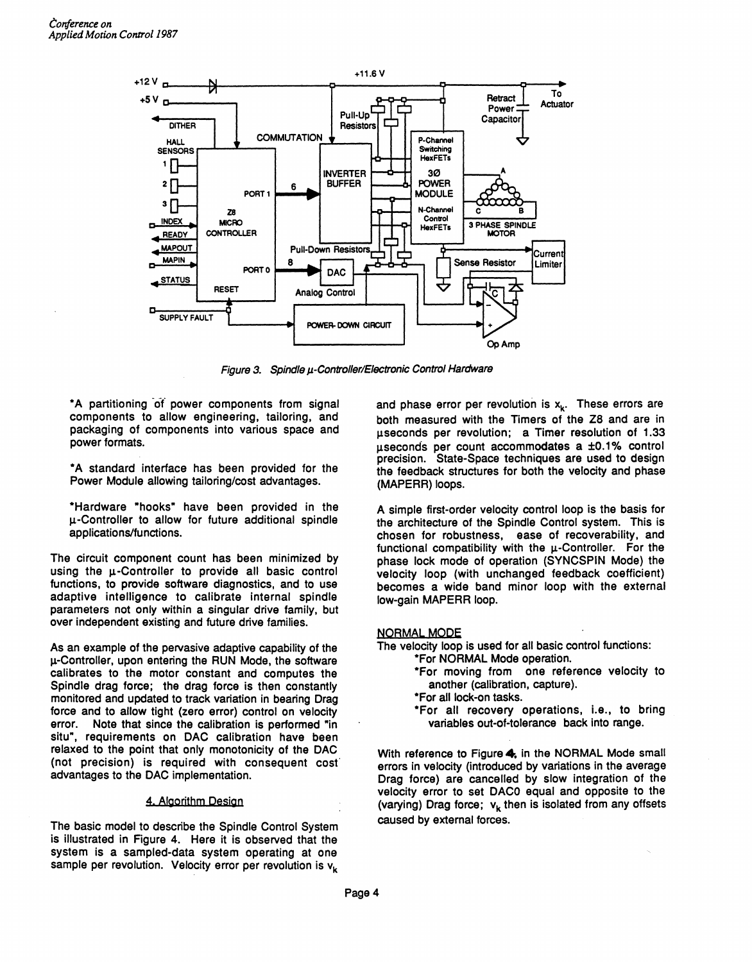

Figure 3. Spindle µ-Controller/Electronic Control Hardware

\*A partitioning '01 power components from signal components to allow engineering, tailoring, and packaging of components into various space and power formats.

\*A standard interlace has been provided for the Power Module allowing tailoring/cost advantages.

\*Hardware "hooks" have been provided in the u-Controller to allow for future additional spindle applications/functions.

The circuit component count has been minimized by using the u-Controller to provide all basic control functions, to provide software diagnostics, and to use adaptive intelligence to calibrate internal spindle parameters not only within a singular drive family, but over independent existing and future drive families.

As an example of the pervasive adaptive capability of the u-Controller, upon entering the RUN Mode, the software calibrates to the motor constant and computes the Spindle drag force; the drag force is then constantly monitored and updated to track variation in bearing Drag force and to allow tight (zero error) control on velocity error. Note that since the calibration is performed "in situ", requirements on DAC calibration have been relaxed to the point that only monotonicity of the DAC (not precision) is required with consequent cost advantages to the DAC implementation.

### 4. Algorithm Design

The basic model to describe the Spindle Control System is illustrated in Figure 4. Here it is observed that the system is a sampled-data system operating at one sample per revolution. Velocity error per revolution is  $v_k$ 

and phase error per revolution is  $x_k$ . These errors are both measured with the Timers of the Z8 and are in useconds per revolution; a Timer resolution of 1.33  $\mu$ seconds per count accommodates a  $\pm 0.1\%$  control precision. State-Space techniques are used to design the feedback structures for both the velocity and phase (MAPERR) loops.

A simple first-order velocity control loop is the basis for the architecture of the Spindle Control system. This is chosen for robustness, ease of recoverability, and functional compatibility with the  $\mu$ -Controller. For the phase lock mode of operation (SYNCSPIN Mode) the velocity loop (with unchanged feedback coefficient) becomes a wide band minor loop with the external low-gain MAPERR loop.

# **NORMAL MODE**

The velocity loop is used for all basic control functions:

- \*For NORMAL Mode operation.
- \*For moving from one reference velocity to another (calibration, capture).
- \*For all lock-on tasks.
- \*For all recovery operations, i.e., to bring variables out-of-tolerance back into range.

With reference to Figure 4, in the NORMAL Mode small errors in velocity (introduced by variations in the average Drag force) are cancelled by slow integration of the velocity error to set DACO equal and opposite to the (varying) Drag force;  $v_k$  then is isolated from any offsets caused by external forces.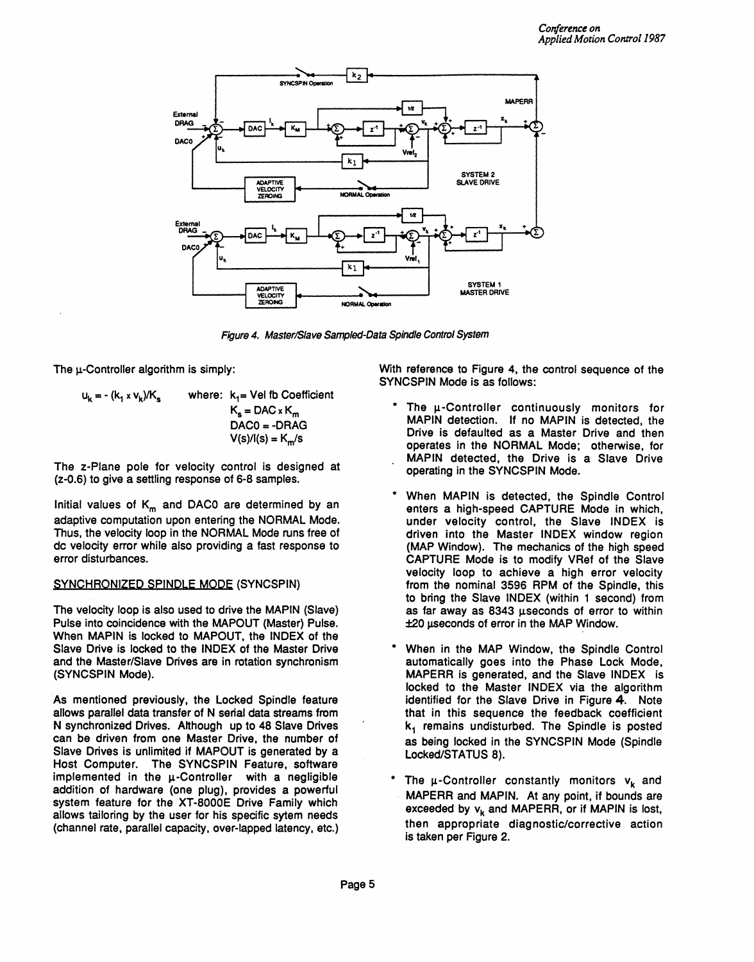

Figure 4. Master/Slave Sampled-Data Spindle Control System

The  $\mu$ -Controller algorithm is simply:

$$
u_{k} = -(k_{1} \times v_{k})/K_{s}
$$
 where:  $k_{1} =$  Vel fb Coefficient  

$$
K_{s} = DAC \times K_{m}
$$
  
DAC0 = -DRAG  

$$
V(s)/I(s) = K_{m}/s
$$

The z-Plane pole for velocity control is designed at (z-O.6) to give a settling response of 6-8 samples.

Initial values of  $K_m$  and DAC0 are determined by an adaptive computation upon entering the NORMAL Mode. Thus, the velocity loop in the NORMAL Mode runs free of dc velocity error while also providing a fast response to error disturbances.

# SYNCHRONIZED SPINDLE MODE (SYNCSPIN)

The velocity loop is also used to drive the MAPIN (Slave) Pulse into coincidence with the MAPOUT (Master) Pulse. When MAPIN is locked to MAPOUT, the INDEX of the Slave Drive is locked to the INDEX of the Master Drive and the Master/Slave Drives are in rotation synchronism (SYNCSPIN Mode).

As mentioned previously, the Locked Spindle feature allows parallel data transfer of N serial data streams from N synchronized Drives. Although up to 48 Slave Drives can be driven from one Master Drive, the number of Slave Drives is unlimited if MAPOUT is generated by a Host Computer. The SYNCSPIN Feature, software implemented in the  $\mu$ -Controller with a negligible addition of hardware (one plug), provides a powerful system feature for the XT-8000E Drive Family which allows tailoring by the user for his specific sytem needs (channel rate, parallel capacity, over-lapped latency, etc.)

With reference to Figure 4, the control sequence of the SYNCSPIN Mode is as follows:

- The u-Controller continuously monitors for MAPIN detection. If no MAPIN is detected, the Drive is defaulted as a Master Drive and then operates in the NORMAL Mode; otherwise, for MAPIN detected, the Drive is a Slave Drive operating in the SYNCSPIN Mode.
- When MAPIN is detected, the Spindle Control enters a high-speed CAPTURE Mode in which, under velocity control, the Slave INDEX is driven into the Master INDEX window region (MAP Window). The mechanics of the high speed CAPTURE Mode is to modify VRef of the Slave velocity loop to achieve a high error velocity from the nominal 3596 RPM of the Spindle, this to bring the Slave INDEX (within 1 second) from as far away as  $8343$   $\mu$ seconds of error to within ±20 useconds of error in the MAP Window.
- When in the MAP Window, the Spindle Control automatically goes into the Phase Lock Mode, MAPERR is generated, and the Slave INDEX is locked to the Master INDEX via the algorithm identified for the Slave Drive in Figure 4. Note that in this sequence the feedback coefficient  $k<sub>1</sub>$  remains undisturbed. The Spindle is posted as being locked in the SYNCSPIN Mode (Spindle Locked/STATUS 8).
- The  $\mu$ -Controller constantly monitors  $v_k$  and MAPERR and MAPIN. At any point, if bounds are exceeded by  $v_k$  and MAPERR, or if MAPIN is lost, then appropriate diagnostic/corrective action is taken per Figure 2.